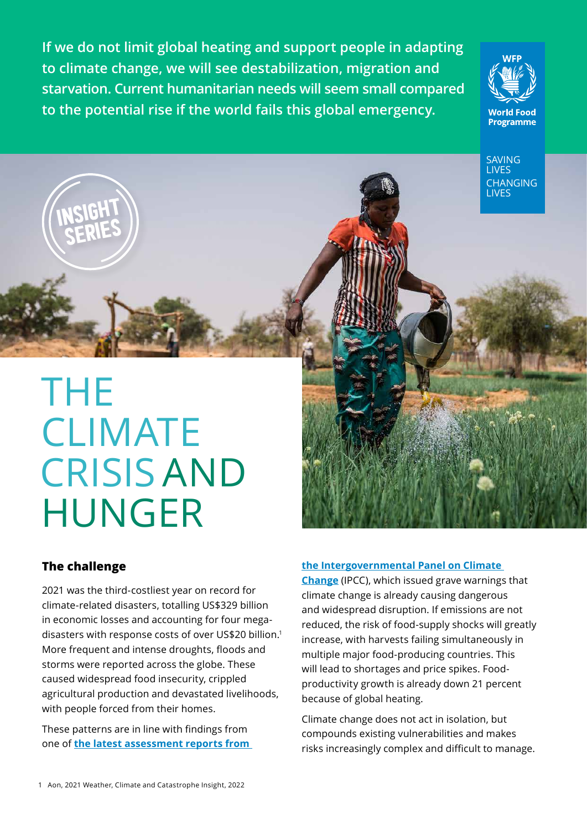**If we do not limit global heating and support people in adapting to climate change, we will see destabilization, migration and starvation. Current humanitarian needs will seem small compared to the potential rise if the world fails this global emergency.**



SAVING LIVES CHANGING LIVES

# THE **CLIMATE**  CRISIS AND HUNGER

### **The challenge**

INSIGHT

SERIES

2021 was the third-costliest year on record for climate-related disasters, totalling US\$329 billion in economic losses and accounting for four megadisasters with response costs of over US\$20 billion.1 More frequent and intense droughts, floods and storms were reported across the globe. These caused widespread food insecurity, crippled agricultural production and devastated livelihoods, with people forced from their homes.

These patterns are in line with findings from one of **[the latest assessment reports from](https://www.ipcc.ch/report/sixth-assessment-report-working-group-ii/)** 

### **[the Intergovernmental Panel on Climate](https://www.ipcc.ch/report/sixth-assessment-report-working-group-ii/)**

**[Change](https://www.ipcc.ch/report/sixth-assessment-report-working-group-ii/)** (IPCC), which issued grave warnings that climate change is already causing dangerous and widespread disruption. If emissions are not reduced, the risk of food-supply shocks will greatly increase, with harvests failing simultaneously in multiple major food-producing countries. This will lead to shortages and price spikes. Foodproductivity growth is already down 21 percent because of global heating.

Climate change does not act in isolation, but compounds existing vulnerabilities and makes risks increasingly complex and difficult to manage.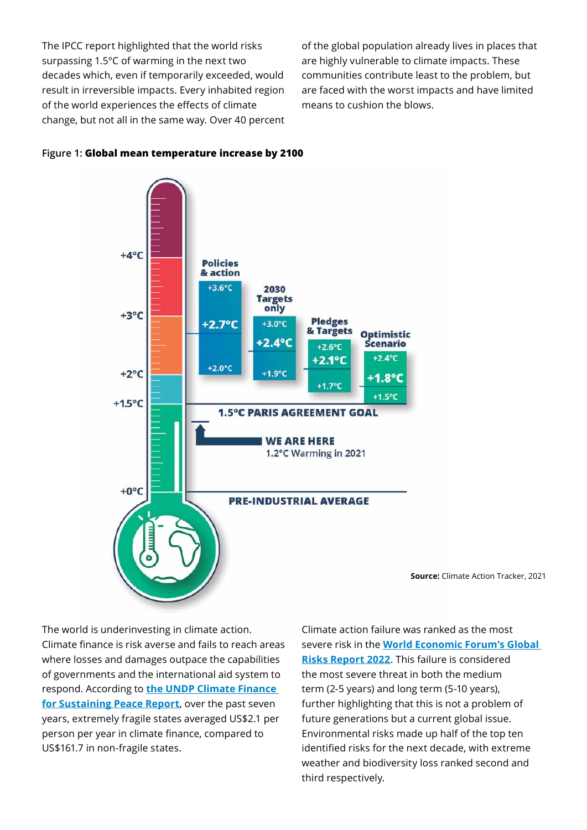The IPCC report highlighted that the world risks surpassing 1.5°C of warming in the next two decades which, even if temporarily exceeded, would result in irreversible impacts. Every inhabited region of the world experiences the effects of climate change, but not all in the same way. Over 40 percent of the global population already lives in places that are highly vulnerable to climate impacts. These communities contribute least to the problem, but are faced with the worst impacts and have limited means to cushion the blows.



### **Figure 1: Global mean temperature increase by 2100**

**Source:** Climate Action Tracker, 2021

The world is underinvesting in climate action. Climate finance is risk averse and fails to reach areas where losses and damages outpace the capabilities of governments and the international aid system to respond. According to **[the UNDP Climate Finance](https://www.undp.org/publications/climate-finance-sustaining-peace-making-climate-finance-work-conflict-affected-and)  [for Sustaining Peace Report](https://www.undp.org/publications/climate-finance-sustaining-peace-making-climate-finance-work-conflict-affected-and)**, over the past seven years, extremely fragile states averaged US\$2.1 per person per year in climate finance, compared to US\$161.7 in non-fragile states.

Climate action failure was ranked as the most severe risk in the **[World Economic Forum's Global](https://www3.weforum.org/docs/WEF_The_Global_Risks_Report_2022.pdf)  [Risks Report 2022](https://www3.weforum.org/docs/WEF_The_Global_Risks_Report_2022.pdf)**. This failure is considered the most severe threat in both the medium term (2-5 years) and long term (5-10 years), further highlighting that this is not a problem of future generations but a current global issue. Environmental risks made up half of the top ten identified risks for the next decade, with extreme weather and biodiversity loss ranked second and third respectively.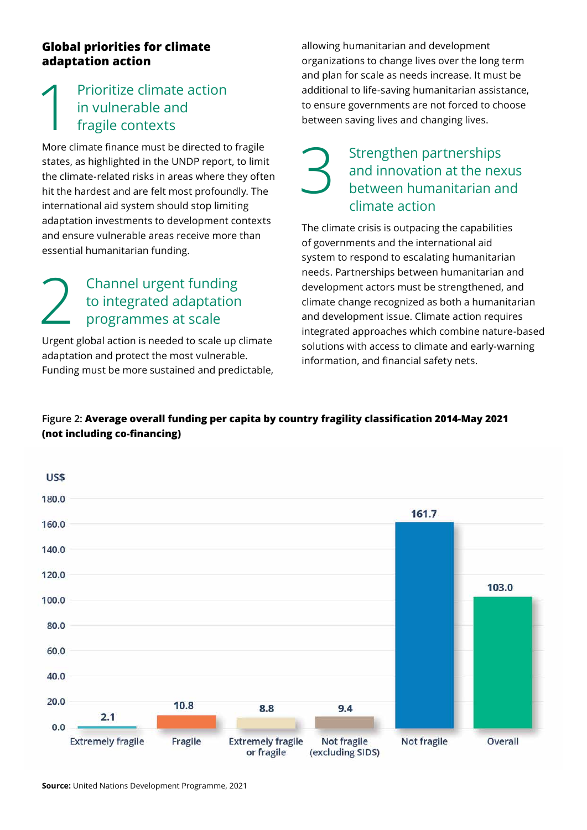### **Global priorities for climate adaptation action**

## Prioritize climate action in vulnerable and fragile contexts

More climate finance must be directed to fragile states, as highlighted in the UNDP report, to limit the climate-related risks in areas where they often hit the hardest and are felt most profoundly. The international aid system should stop limiting adaptation investments to development contexts and ensure vulnerable areas receive more than essential humanitarian funding.

# 2 Channel urgent funding<br>to integrated adaptation<br>programmes at scale to integrated adaptation programmes at scale

Urgent global action is needed to scale up climate adaptation and protect the most vulnerable. Funding must be more sustained and predictable, allowing humanitarian and development organizations to change lives over the long term and plan for scale as needs increase. It must be additional to life-saving humanitarian assistance, to ensure governments are not forced to choose between saving lives and changing lives.

### Strengthen partnerships and innovation at the nexus between humanitarian and climate action

The climate crisis is outpacing the capabilities of governments and the international aid system to respond to escalating humanitarian needs. Partnerships between humanitarian and development actors must be strengthened, and climate change recognized as both a humanitarian and development issue. Climate action requires integrated approaches which combine nature-based solutions with access to climate and early-warning information, and financial safety nets.

### **Figure 2: Average overall funding per capita by country fragility classification 2014-May 2021 (not including co-financing)**